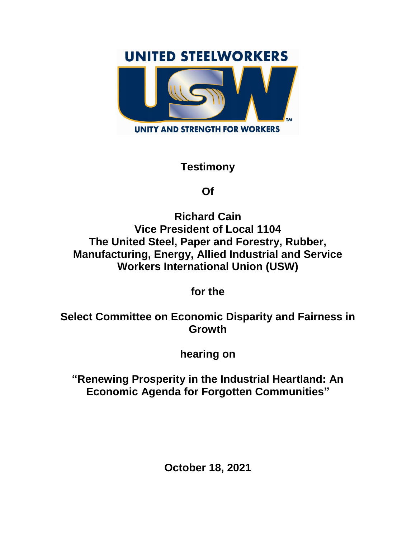## **UNITED STEELWORKERS**



## **Testimony**

## **Of**

**Richard Cain Vice President of Local 1104 The United Steel, Paper and Forestry, Rubber, Manufacturing, Energy, Allied Industrial and Service Workers International Union (USW)**

**for the**

**Select Committee on Economic Disparity and Fairness in Growth**

**hearing on**

**"Renewing Prosperity in the Industrial Heartland: An Economic Agenda for Forgotten Communities"**

**October 18, 2021**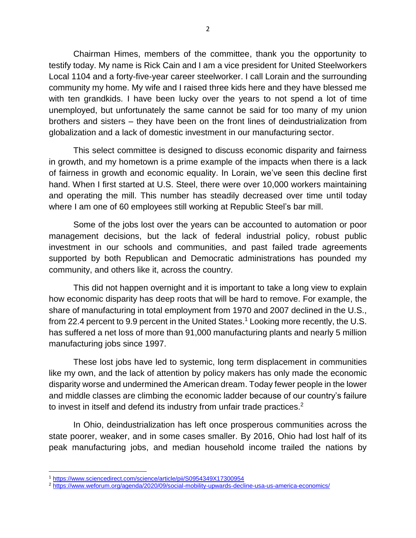Chairman Himes, members of the committee, thank you the opportunity to testify today. My name is Rick Cain and I am a vice president for United Steelworkers Local 1104 and a forty-five-year career steelworker. I call Lorain and the surrounding community my home. My wife and I raised three kids here and they have blessed me with ten grandkids. I have been lucky over the years to not spend a lot of time unemployed, but unfortunately the same cannot be said for too many of my union brothers and sisters – they have been on the front lines of deindustrialization from globalization and a lack of domestic investment in our manufacturing sector.

This select committee is designed to discuss economic disparity and fairness in growth, and my hometown is a prime example of the impacts when there is a lack of fairness in growth and economic equality. In Lorain, we've seen this decline first hand. When I first started at U.S. Steel, there were over 10,000 workers maintaining and operating the mill. This number has steadily decreased over time until today where I am one of 60 employees still working at Republic Steel's bar mill.

Some of the jobs lost over the years can be accounted to automation or poor management decisions, but the lack of federal industrial policy, robust public investment in our schools and communities, and past failed trade agreements supported by both Republican and Democratic administrations has pounded my community, and others like it, across the country.

This did not happen overnight and it is important to take a long view to explain how economic disparity has deep roots that will be hard to remove. For example, the share of manufacturing in total employment from 1970 and 2007 declined in the U.S., from 22.4 percent to 9.9 percent in the United States. <sup>1</sup> Looking more recently, the U.S. has suffered a net loss of more than 91,000 manufacturing plants and nearly 5 million manufacturing jobs since 1997.

These lost jobs have led to systemic, long term displacement in communities like my own, and the lack of attention by policy makers has only made the economic disparity worse and undermined the American dream. Today fewer people in the lower and middle classes are climbing the economic ladder because of our country's failure to invest in itself and defend its industry from unfair trade practices.<sup>2</sup>

In Ohio, deindustrialization has left once prosperous communities across the state poorer, weaker, and in some cases smaller. By 2016, Ohio had lost half of its peak manufacturing jobs, and median household income trailed the nations by

 $\overline{\phantom{a}}$ <sup>1</sup> <https://www.sciencedirect.com/science/article/pii/S0954349X17300954>

<sup>2</sup> <https://www.weforum.org/agenda/2020/09/social-mobility-upwards-decline-usa-us-america-economics/>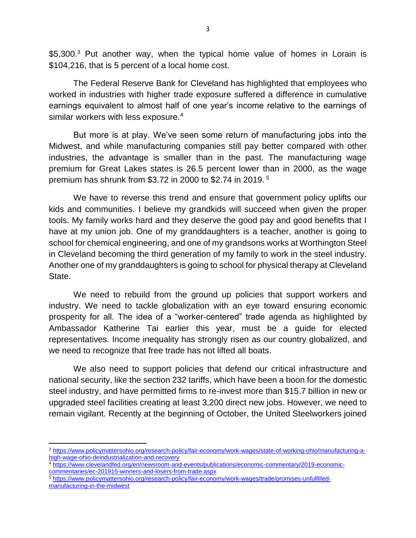\$5,300.<sup>3</sup> Put another way, when the typical home value of homes in Lorain is \$104,216, that is 5 percent of a local home cost.

The Federal Reserve Bank for Cleveland has highlighted that employees who worked in industries with higher trade exposure suffered a difference in cumulative earnings equivalent to almost half of one year's income relative to the earnings of similar workers with less exposure.<sup>4</sup>

But more is at play. We've seen some return of manufacturing jobs into the Midwest, and while manufacturing companies still pay better compared with other industries, the advantage is smaller than in the past. The manufacturing wage premium for Great Lakes states is 26.5 percent lower than in 2000, as the wage premium has shrunk from \$3.72 in 2000 to \$2.74 in 2019. <sup>5</sup>

We have to reverse this trend and ensure that government policy uplifts our kids and communities. I believe my grandkids will succeed when given the proper tools. My family works hard and they deserve the good pay and good benefits that I have at my union job. One of my granddaughters is a teacher, another is going to school for chemical engineering, and one of my grandsons works at Worthington Steel in Cleveland becoming the third generation of my family to work in the steel industry. Another one of my granddaughters is going to school for physical therapy at Cleveland State.

We need to rebuild from the ground up policies that support workers and industry. We need to tackle globalization with an eye toward ensuring economic prosperity for all. The idea of a "worker-centered" trade agenda as highlighted by Ambassador Katherine Tai earlier this year, must be a guide for elected representatives. Income inequality has strongly risen as our country globalized, and we need to recognize that free trade has not lifted all boats.

We also need to support policies that defend our critical infrastructure and national security, like the section 232 tariffs, which have been a boon for the domestic steel industry, and have permitted firms to re-invest more than \$15.7 billion in new or upgraded steel facilities creating at least 3,200 direct new jobs. However, we need to remain vigilant. Recently at the beginning of October, the United Steelworkers joined

<sup>4</sup> [https://www.clevelandfed.org/en/newsroom-and-events/publications/economic-commentary/2019-economic](https://www.clevelandfed.org/en/newsroom-and-events/publications/economic-commentary/2019-economic-commentaries/ec-201915-winners-and-losers-from-trade.aspx)[commentaries/ec-201915-winners-and-losers-from-trade.aspx](https://www.clevelandfed.org/en/newsroom-and-events/publications/economic-commentary/2019-economic-commentaries/ec-201915-winners-and-losers-from-trade.aspx)

 $\overline{a}$ 

<sup>3</sup> [https://www.policymattersohio.org/research-policy/fair-economy/work-wages/state-of-working-ohio/manufacturing-a](https://www.policymattersohio.org/research-policy/fair-economy/work-wages/state-of-working-ohio/manufacturing-a-high-wage-ohio-deindustrialization-and-recovery)[high-wage-ohio-deindustrialization-and-recovery](https://www.policymattersohio.org/research-policy/fair-economy/work-wages/state-of-working-ohio/manufacturing-a-high-wage-ohio-deindustrialization-and-recovery)

<sup>5</sup> [https://www.policymattersohio.org/research-policy/fair-economy/work-wages/trade/promises-unfulfilled](https://www.policymattersohio.org/research-policy/fair-economy/work-wages/trade/promises-unfulfilled-manufacturing-in-the-midwest)[manufacturing-in-the-midwest](https://www.policymattersohio.org/research-policy/fair-economy/work-wages/trade/promises-unfulfilled-manufacturing-in-the-midwest)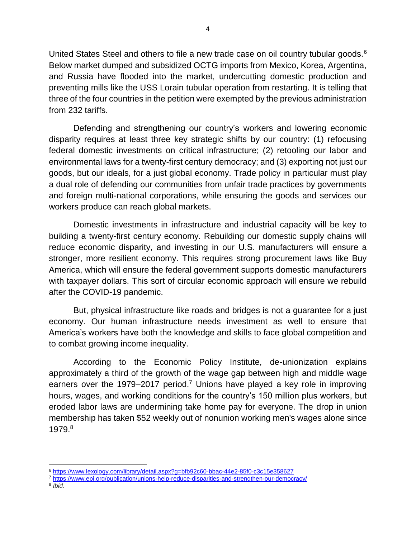United States Steel and others to file a new trade case on oil country tubular goods.<sup>6</sup> Below market dumped and subsidized OCTG imports from Mexico, Korea, Argentina, and Russia have flooded into the market, undercutting domestic production and preventing mills like the USS Lorain tubular operation from restarting. It is telling that three of the four countries in the petition were exempted by the previous administration from 232 tariffs.

Defending and strengthening our country's workers and lowering economic disparity requires at least three key strategic shifts by our country: (1) refocusing federal domestic investments on critical infrastructure; (2) retooling our labor and environmental laws for a twenty-first century democracy; and (3) exporting not just our goods, but our ideals, for a just global economy. Trade policy in particular must play a dual role of defending our communities from unfair trade practices by governments and foreign multi-national corporations, while ensuring the goods and services our workers produce can reach global markets.

Domestic investments in infrastructure and industrial capacity will be key to building a twenty-first century economy. Rebuilding our domestic supply chains will reduce economic disparity, and investing in our U.S. manufacturers will ensure a stronger, more resilient economy. This requires strong procurement laws like Buy America, which will ensure the federal government supports domestic manufacturers with taxpayer dollars. This sort of circular economic approach will ensure we rebuild after the COVID-19 pandemic.

But, physical infrastructure like roads and bridges is not a guarantee for a just economy. Our human infrastructure needs investment as well to ensure that America's workers have both the knowledge and skills to face global competition and to combat growing income inequality.

According to the Economic Policy Institute, de-unionization explains approximately a third of the growth of the wage gap between high and middle wage earners over the 1979–2017 period.<sup>7</sup> Unions have played a key role in improving hours, wages, and working conditions for the country's 150 million plus workers, but eroded labor laws are undermining take home pay for everyone. The drop in union membership has taken \$52 weekly out of nonunion working men's wages alone since 1979.<sup>8</sup>

- <sup>7</sup> <https://www.epi.org/publication/unions-help-reduce-disparities-and-strengthen-our-democracy/>
- 8 *Ibid.*

 $\overline{\phantom{a}}$ <sup>6</sup> <https://www.lexology.com/library/detail.aspx?g=bfb92c60-bbac-44e2-85f0-c3c15e358627>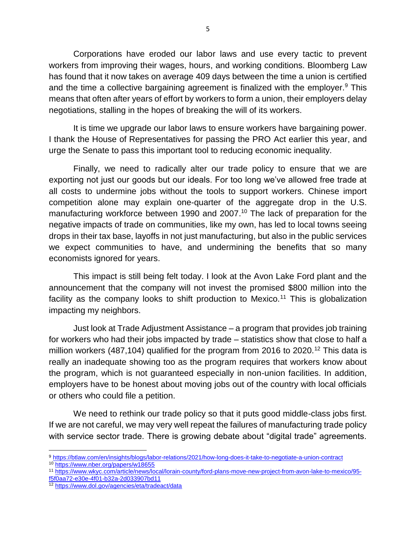Corporations have eroded our labor laws and use every tactic to prevent workers from improving their wages, hours, and working conditions. Bloomberg Law has found that it now takes on average 409 days between the time a union is certified and the time a collective bargaining agreement is finalized with the employer. $9$  This means that often after years of effort by workers to form a union, their employers delay negotiations, stalling in the hopes of breaking the will of its workers.

It is time we upgrade our labor laws to ensure workers have bargaining power. I thank the House of Representatives for passing the PRO Act earlier this year, and urge the Senate to pass this important tool to reducing economic inequality.

Finally, we need to radically alter our trade policy to ensure that we are exporting not just our goods but our ideals. For too long we've allowed free trade at all costs to undermine jobs without the tools to support workers. Chinese import competition alone may explain one-quarter of the aggregate drop in the U.S. manufacturing workforce between 1990 and 2007. <sup>10</sup> The lack of preparation for the negative impacts of trade on communities, like my own, has led to local towns seeing drops in their tax base, layoffs in not just manufacturing, but also in the public services we expect communities to have, and undermining the benefits that so many economists ignored for years.

This impact is still being felt today. I look at the Avon Lake Ford plant and the announcement that the company will not invest the promised \$800 million into the facility as the company looks to shift production to Mexico.<sup>11</sup> This is globalization impacting my neighbors.

Just look at Trade Adjustment Assistance – a program that provides job training for workers who had their jobs impacted by trade – statistics show that close to half a million workers (487,104) qualified for the program from 2016 to 2020.<sup>12</sup> This data is really an inadequate showing too as the program requires that workers know about the program, which is not guaranteed especially in non-union facilities. In addition, employers have to be honest about moving jobs out of the country with local officials or others who could file a petition.

We need to rethink our trade policy so that it puts good middle-class jobs first. If we are not careful, we may very well repeat the failures of manufacturing trade policy with service sector trade. There is growing debate about "digital trade" agreements.

[f5f0aa72-e30e-4f01-b32a-2d033907bd11](https://www.wkyc.com/article/news/local/lorain-county/ford-plans-move-new-project-from-avon-lake-to-mexico/95-f5f0aa72-e30e-4f01-b32a-2d033907bd11)

 $\overline{\phantom{a}}$ <sup>9</sup> <https://btlaw.com/en/insights/blogs/labor-relations/2021/how-long-does-it-take-to-negotiate-a-union-contract>

<sup>10</sup> <https://www.nber.org/papers/w18655>

<sup>11</sup> [https://www.wkyc.com/article/news/local/lorain-county/ford-plans-move-new-project-from-avon-lake-to-mexico/95-](https://www.wkyc.com/article/news/local/lorain-county/ford-plans-move-new-project-from-avon-lake-to-mexico/95-f5f0aa72-e30e-4f01-b32a-2d033907bd11)

<sup>12</sup> <https://www.dol.gov/agencies/eta/tradeact/data>